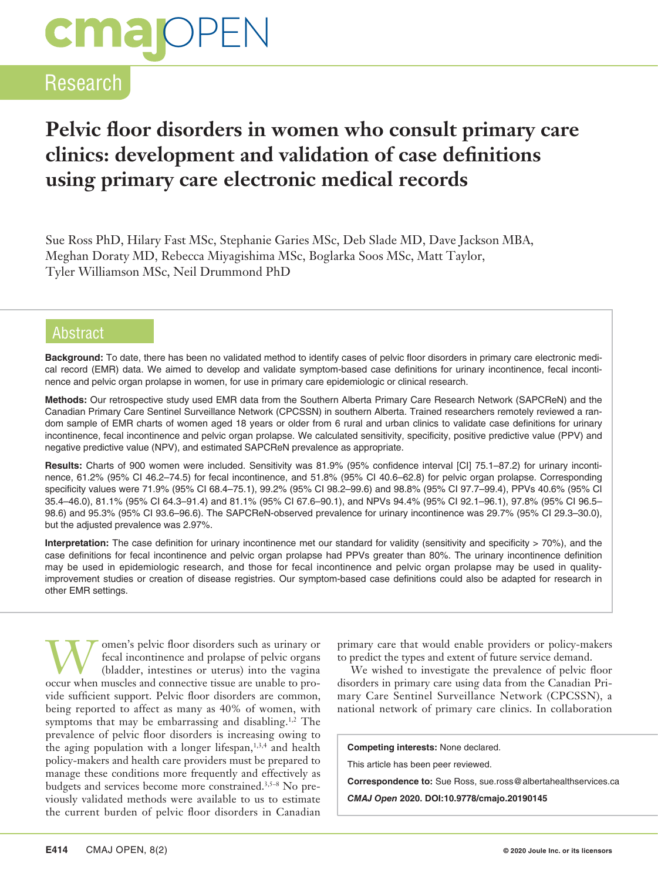# **cmal**OPEN

### Research

### **Pelvic floor disorders in women who consult primary care clinics: development and validation of case definitions using primary care electronic medical records**

Sue Ross PhD, Hilary Fast MSc, Stephanie Garies MSc, Deb Slade MD, Dave Jackson MBA, Meghan Doraty MD, Rebecca Miyagishima MSc, Boglarka Soos MSc, Matt Taylor, Tyler Williamson MSc, Neil Drummond PhD

#### Abstract

**Background:** To date, there has been no validated method to identify cases of pelvic floor disorders in primary care electronic medical record (EMR) data. We aimed to develop and validate symptom-based case definitions for urinary incontinence, fecal incontinence and pelvic organ prolapse in women, for use in primary care epidemiologic or clinical research.

**Methods:** Our retrospective study used EMR data from the Southern Alberta Primary Care Research Network (SAPCReN) and the Canadian Primary Care Sentinel Surveillance Network (CPCSSN) in southern Alberta. Trained researchers remotely reviewed a random sample of EMR charts of women aged 18 years or older from 6 rural and urban clinics to validate case definitions for urinary incontinence, fecal incontinence and pelvic organ prolapse. We calculated sensitivity, specificity, positive predictive value (PPV) and negative predictive value (NPV), and estimated SAPCReN prevalence as appropriate.

**Results:** Charts of 900 women were included. Sensitivity was 81.9% (95% confidence interval [CI] 75.1–87.2) for urinary incontinence, 61.2% (95% CI 46.2–74.5) for fecal incontinence, and 51.8% (95% CI 40.6–62.8) for pelvic organ prolapse. Corresponding specificity values were 71.9% (95% CI 68.4–75.1), 99.2% (95% CI 98.2–99.6) and 98.8% (95% CI 97.7–99.4), PPVs 40.6% (95% CI 35.4–46.0), 81.1% (95% CI 64.3–91.4) and 81.1% (95% CI 67.6–90.1), and NPVs 94.4% (95% CI 92.1–96.1), 97.8% (95% CI 96.5– 98.6) and 95.3% (95% CI 93.6–96.6). The SAPCReN-observed prevalence for urinary incontinence was 29.7% (95% CI 29.3–30.0), but the adjusted prevalence was 2.97%.

**Interpretation:** The case definition for urinary incontinence met our standard for validity (sensitivity and specificity > 70%), and the case definitions for fecal incontinence and pelvic organ prolapse had PPVs greater than 80%. The urinary incontinence definition may be used in epidemiologic research, and those for fecal incontinence and pelvic organ prolapse may be used in qualityimprovement studies or creation of disease registries. Our symptom-based case definitions could also be adapted for research in other EMR settings.

Women's pelvic floor disorders such as urinary or<br>
(bladder, intestines or uterus) into the vagina<br>
occur when muscles and connective tissue are unable to pro fecal incontinence and prolapse of pelvic organs occur when muscles and connective tissue are unable to provide sufficient support. Pelvic floor disorders are common, being reported to affect as many as 40% of women, with symptoms that may be embarrassing and disabling.<sup>1,2</sup> The prevalence of pelvic floor disorders is increasing owing to the aging population with a longer lifespan,<sup>1,3,4</sup> and health policy-makers and health care providers must be prepared to manage these conditions more frequently and effectively as budgets and services become more constrained.<sup>3,5–8</sup> No previously validated methods were available to us to estimate the current burden of pelvic floor disorders in Canadian

primary care that would enable providers or policy-makers to predict the types and extent of future service demand.

We wished to investigate the prevalence of pelvic floor disorders in primary care using data from the Canadian Primary Care Sentinel Surveillance Network (CPCSSN), a national network of primary care clinics. In collaboration

**Competing interests:** None declared.

This article has been peer reviewed.

**Correspondence to:** Sue Ross, sue.ross@albertahealthservices.ca

*CMAJ Open* **2020. DOI:10.9778/cmajo.20190145**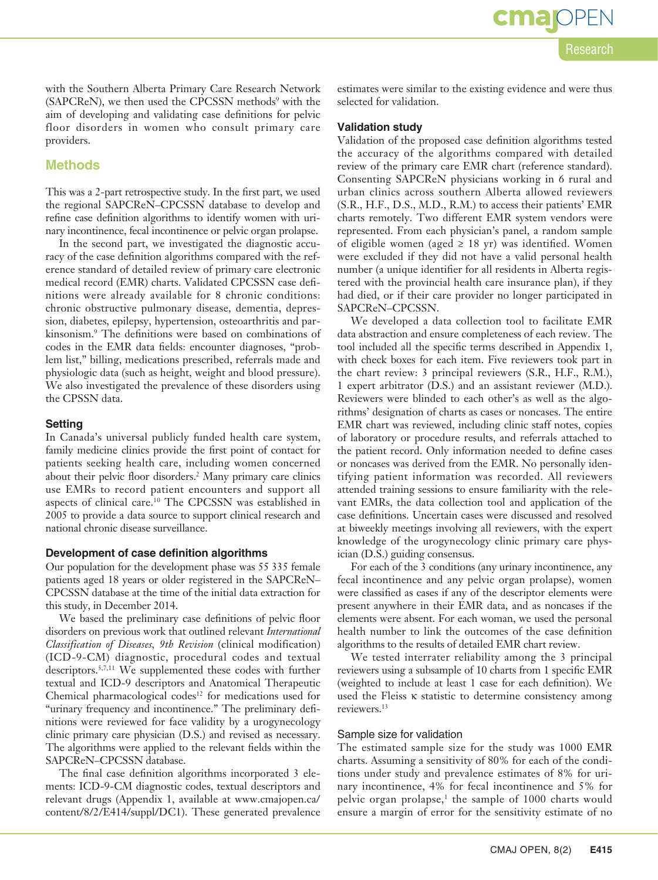Research

**OPEN** 

with the Southern Alberta Primary Care Research Network (SAPCReN), we then used the CPCSSN methods<sup>9</sup> with the aim of developing and validating case definitions for pelvic floor disorders in women who consult primary care providers.

#### **Methods**

This was a 2-part retrospective study. In the first part, we used the regional SAPCReN–CPCSSN database to develop and refine case definition algorithms to identify women with urinary incontinence, fecal incontinence or pelvic organ prolapse.

In the second part, we investigated the diagnostic accuracy of the case definition algorithms compared with the reference standard of detailed review of primary care electronic medical record (EMR) charts. Validated CPCSSN case definitions were already available for 8 chronic conditions: chronic obstructive pulmonary disease, dementia, depression, diabetes, epilepsy, hypertension, osteoarthritis and parkinsonism.9 The definitions were based on combinations of codes in the EMR data fields: encounter diagnoses, "problem list," billing, medications prescribed, referrals made and physiologic data (such as height, weight and blood pressure). We also investigated the prevalence of these disorders using the CPSSN data.

#### **Setting**

In Canada's universal publicly funded health care system, family medicine clinics provide the first point of contact for patients seeking health care, including women concerned about their pelvic floor disorders.<sup>2</sup> Many primary care clinics use EMRs to record patient encounters and support all aspects of clinical care.10 The CPCSSN was established in 2005 to provide a data source to support clinical research and national chronic disease surveillance.

#### **Development of case definition algorithms**

Our population for the development phase was 55 335 female patients aged 18 years or older registered in the SAPCReN– CPCSSN database at the time of the initial data extraction for this study, in December 2014.

We based the preliminary case definitions of pelvic floor disorders on previous work that outlined relevant *International Classification of Diseases, 9th Revision* (clinical modification) (ICD-9-CM) diagnostic, procedural codes and textual descriptors.5,7,11 We supplemented these codes with further textual and ICD-9 descriptors and Anatomical Therapeutic Chemical pharmacological codes<sup>12</sup> for medications used for "urinary frequency and incontinence." The preliminary definitions were reviewed for face validity by a urogynecology clinic primary care physician (D.S.) and revised as necessary. The algorithms were applied to the relevant fields within the SAPCReN–CPCSSN database.

The final case definition algorithms incorporated 3 elements: ICD-9-CM diagnostic codes, textual descriptors and relevant drugs (Appendix 1, available at www.cmajopen.ca/ content/8/2/E414/suppl/DC1). These generated prevalence

estimates were similar to the existing evidence and were thus selected for validation.

#### **Validation study**

Validation of the proposed case definition algorithms tested the accuracy of the algorithms compared with detailed review of the primary care EMR chart (reference standard). Consenting SAPCReN physicians working in 6 rural and urban clinics across southern Alberta allowed reviewers (S.R., H.F., D.S., M.D., R.M.) to access their patients' EMR charts remotely. Two different EMR system vendors were represented. From each physician's panel, a random sample of eligible women (aged  $\geq$  18 yr) was identified. Women were excluded if they did not have a valid personal health number (a unique identifier for all residents in Alberta registered with the provincial health care insurance plan), if they had died, or if their care provider no longer participated in SAPCReN–CPCSSN.

We developed a data collection tool to facilitate EMR data abstraction and ensure completeness of each review. The tool included all the specific terms described in Appendix 1, with check boxes for each item. Five reviewers took part in the chart review: 3 principal reviewers (S.R., H.F., R.M.), 1 expert arbitrator (D.S.) and an assistant reviewer (M.D.). Reviewers were blinded to each other's as well as the algorithms' designation of charts as cases or noncases. The entire EMR chart was reviewed, including clinic staff notes, copies of laboratory or procedure results, and referrals attached to the patient record. Only information needed to define cases or noncases was derived from the EMR. No personally identifying patient information was recorded. All reviewers attended training sessions to ensure familiarity with the relevant EMRs, the data collection tool and application of the case definitions. Uncertain cases were discussed and resolved at biweekly meetings involving all reviewers, with the expert knowledge of the urogynecology clinic primary care physician (D.S.) guiding consensus.

For each of the 3 conditions (any urinary incontinence, any fecal incontinence and any pelvic organ prolapse), women were classified as cases if any of the descriptor elements were present anywhere in their EMR data, and as noncases if the elements were absent. For each woman, we used the personal health number to link the outcomes of the case definition algorithms to the results of detailed EMR chart review.

We tested interrater reliability among the 3 principal reviewers using a subsample of 10 charts from 1 specific EMR (weighted to include at least 1 case for each definition). We used the Fleiss κ statistic to determine consistency among reviewers.<sup>13</sup>

#### Sample size for validation

The estimated sample size for the study was 1000 EMR charts. Assuming a sensitivity of 80% for each of the conditions under study and prevalence estimates of 8% for urinary incontinence, 4% for fecal incontinence and 5% for pelvic organ prolapse,<sup>1</sup> the sample of 1000 charts would ensure a margin of error for the sensitivity estimate of no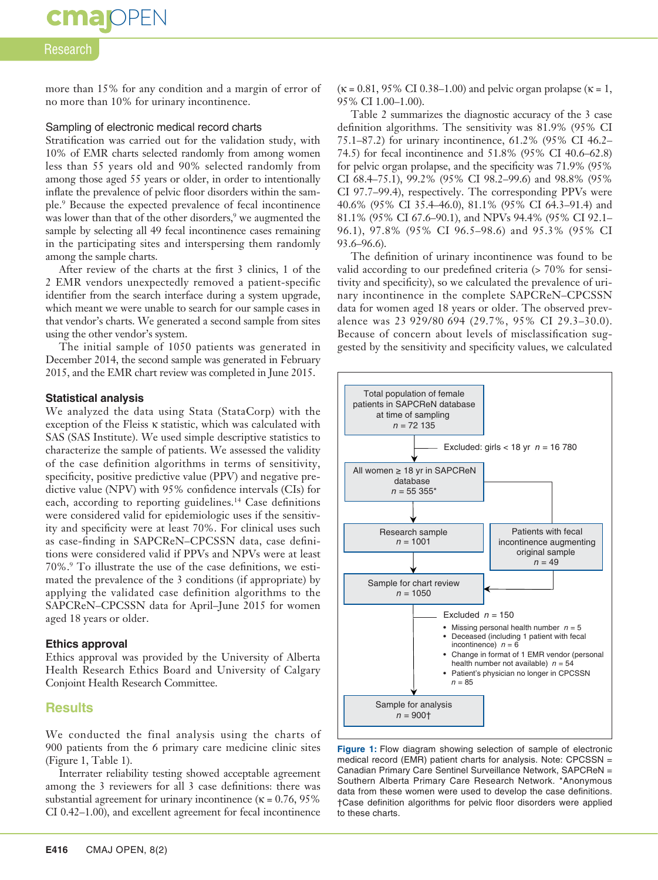**cmapPEN** 

#### Research

more than 15% for any condition and a margin of error of no more than 10% for urinary incontinence.

#### Sampling of electronic medical record charts

Stratification was carried out for the validation study, with 10% of EMR charts selected randomly from among women less than 55 years old and 90% selected randomly from among those aged 55 years or older, in order to intentionally inflate the prevalence of pelvic floor disorders within the sample.9 Because the expected prevalence of fecal incontinence was lower than that of the other disorders,<sup>9</sup> we augmented the sample by selecting all 49 fecal incontinence cases remaining in the participating sites and interspersing them randomly among the sample charts.

After review of the charts at the first 3 clinics, 1 of the 2 EMR vendors unexpectedly removed a patient-specific identifier from the search interface during a system upgrade, which meant we were unable to search for our sample cases in that vendor's charts. We generated a second sample from sites using the other vendor's system.

The initial sample of 1050 patients was generated in December 2014, the second sample was generated in February 2015, and the EMR chart review was completed in June 2015.

#### **Statistical analysis**

We analyzed the data using Stata (StataCorp) with the exception of the Fleiss κ statistic, which was calculated with SAS (SAS Institute). We used simple descriptive statistics to characterize the sample of patients. We assessed the validity of the case definition algorithms in terms of sensitivity, specificity, positive predictive value (PPV) and negative predictive value (NPV) with 95% confidence intervals (CIs) for each, according to reporting guidelines.<sup>14</sup> Case definitions were considered valid for epidemiologic uses if the sensitivity and specificity were at least 70%. For clinical uses such as case-finding in SAPCReN–CPCSSN data, case definitions were considered valid if PPVs and NPVs were at least 70%.9 To illustrate the use of the case definitions, we estimated the prevalence of the 3 conditions (if appropriate) by applying the validated case definition algorithms to the SAPCReN–CPCSSN data for April–June 2015 for women aged 18 years or older.

#### **Ethics approval**

Ethics approval was provided by the University of Alberta Health Research Ethics Board and University of Calgary Conjoint Health Research Committee.

#### **Results**

We conducted the final analysis using the charts of 900 patients from the 6 primary care medicine clinic sites (Figure 1, Table 1).

Interrater reliability testing showed acceptable agreement among the 3 reviewers for all 3 case definitions: there was substantial agreement for urinary incontinence ( $\kappa = 0.76, 95\%$ CI 0.42–1.00), and excellent agreement for fecal incontinence

 $(\kappa = 0.81, 95\% \text{ CI } 0.38 - 1.00)$  and pelvic organ prolapse  $(\kappa = 1, 1)$ 95% CI 1.00–1.00).

Table 2 summarizes the diagnostic accuracy of the 3 case definition algorithms. The sensitivity was 81.9% (95% CI 75.1–87.2) for urinary incontinence, 61.2% (95% CI 46.2– 74.5) for fecal incontinence and 51.8% (95% CI 40.6–62.8) for pelvic organ prolapse, and the specificity was 71.9% (95% CI 68.4–75.1), 99.2% (95% CI 98.2–99.6) and 98.8% (95% CI 97.7–99.4), respectively. The corresponding PPVs were 40.6% (95% CI 35.4–46.0), 81.1% (95% CI 64.3–91.4) and 81.1% (95% CI 67.6–90.1), and NPVs 94.4% (95% CI 92.1– 96.1), 97.8% (95% CI 96.5–98.6) and 95.3% (95% CI 93.6–96.6).

The definition of urinary incontinence was found to be valid according to our predefined criteria (> 70% for sensitivity and specificity), so we calculated the prevalence of urinary incontinence in the complete SAPCReN–CPCSSN data for women aged 18 years or older. The observed prevalence was 23 929/80 694 (29.7%, 95% CI 29.3–30.0). Because of concern about levels of misclassification suggested by the sensitivity and specificity values, we calculated



**Figure 1:** Flow diagram showing selection of sample of electronic medical record (EMR) patient charts for analysis. Note: CPCSSN = Canadian Primary Care Sentinel Surveillance Network, SAPCReN = Southern Alberta Primary Care Research Network. \*Anonymous data from these women were used to develop the case definitions. †Case definition algorithms for pelvic floor disorders were applied to these charts.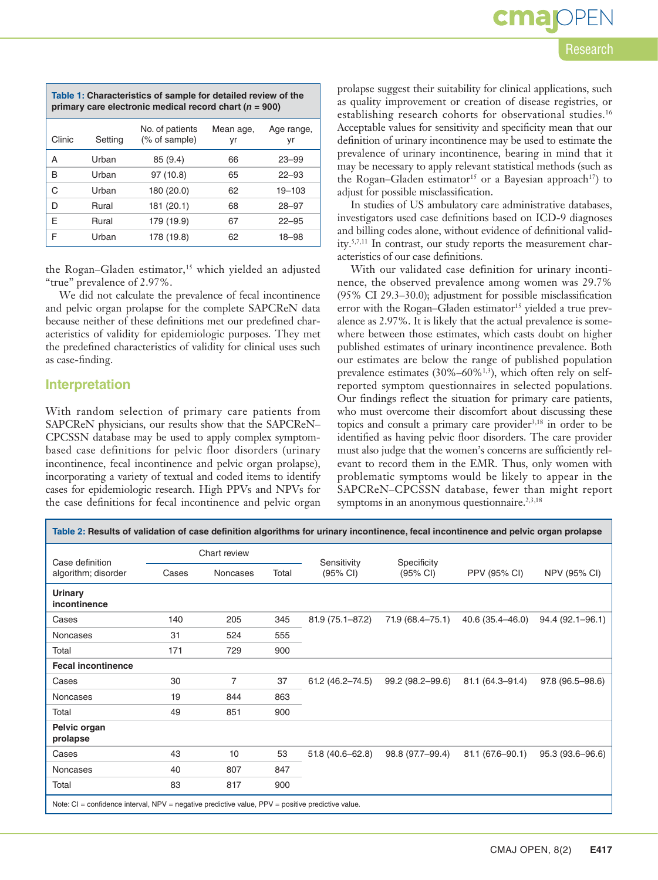# **OPEN**

#### Research

| Table 1: Characteristics of sample for detailed review of the<br>primary care electronic medical record chart ( $n = 900$ ) |         |                                  |                 |                  |  |  |  |  |  |
|-----------------------------------------------------------------------------------------------------------------------------|---------|----------------------------------|-----------------|------------------|--|--|--|--|--|
| Clinic                                                                                                                      | Setting | No. of patients<br>(% of sample) | Mean age,<br>yr | Age range,<br>yr |  |  |  |  |  |
| А                                                                                                                           | Urban   | 85(9.4)                          | 66              | $23 - 99$        |  |  |  |  |  |
| B                                                                                                                           | Urban   | 97 (10.8)                        | 65              | $22 - 93$        |  |  |  |  |  |
| C                                                                                                                           | Urban   | 180 (20.0)                       | 62              | 19-103           |  |  |  |  |  |
| D                                                                                                                           | Rural   | 181 (20.1)                       | 68              | $28 - 97$        |  |  |  |  |  |
| F                                                                                                                           | Rural   | 179 (19.9)                       | 67              | $22 - 95$        |  |  |  |  |  |
| F                                                                                                                           | Urban   | 178 (19.8)                       | 62              | 18–98            |  |  |  |  |  |

the Rogan-Gladen estimator,<sup>15</sup> which yielded an adjusted "true" prevalence of 2.97%.

We did not calculate the prevalence of fecal incontinence and pelvic organ prolapse for the complete SAPCReN data because neither of these definitions met our predefined characteristics of validity for epidemiologic purposes. They met the predefined characteristics of validity for clinical uses such as case-finding.

#### **Interpretation**

With random selection of primary care patients from SAPCReN physicians, our results show that the SAPCReN– CPCSSN database may be used to apply complex symptombased case definitions for pelvic floor disorders (urinary incontinence, fecal incontinence and pelvic organ prolapse), incorporating a variety of textual and coded items to identify cases for epidemiologic research. High PPVs and NPVs for the case definitions for fecal incontinence and pelvic organ

prolapse suggest their suitability for clinical applications, such as quality improvement or creation of disease registries, or establishing research cohorts for observational studies.16 Acceptable values for sensitivity and specificity mean that our definition of urinary incontinence may be used to estimate the prevalence of urinary incontinence, bearing in mind that it may be necessary to apply relevant statistical methods (such as the Rogan-Gladen estimator<sup>15</sup> or a Bayesian approach<sup>17</sup>) to adjust for possible misclassification.

In studies of US ambulatory care administrative databases, investigators used case definitions based on ICD-9 diagnoses and billing codes alone, without evidence of definitional validity.5,7,11 In contrast, our study reports the measurement characteristics of our case definitions.

With our validated case definition for urinary incontinence, the observed prevalence among women was 29.7% (95% CI 29.3–30.0); adjustment for possible misclassification error with the Rogan–Gladen estimator<sup>15</sup> yielded a true prevalence as 2.97%. It is likely that the actual prevalence is somewhere between those estimates, which casts doubt on higher published estimates of urinary incontinence prevalence. Both our estimates are below the range of published population prevalence estimates  $(30\% - 60\%)^{1,3}$ , which often rely on selfreported symptom questionnaires in selected populations. Our findings reflect the situation for primary care patients, who must overcome their discomfort about discussing these topics and consult a primary care provider<sup>3,18</sup> in order to be identified as having pelvic floor disorders. The care provider must also judge that the women's concerns are sufficiently relevant to record them in the EMR. Thus, only women with problematic symptoms would be likely to appear in the SAPCReN–CPCSSN database, fewer than might report symptoms in an anonymous questionnaire.<sup>2,3,18</sup>

| Table 2: Results of validation of case definition algorithms for urinary incontinence, fecal incontinence and pelvic organ prolapse |              |                   |     |                     |                         |                  |                  |  |  |  |
|-------------------------------------------------------------------------------------------------------------------------------------|--------------|-------------------|-----|---------------------|-------------------------|------------------|------------------|--|--|--|
| Case definition                                                                                                                     | Chart review |                   |     | Sensitivity         |                         |                  |                  |  |  |  |
| algorithm; disorder                                                                                                                 | Cases        | Total<br>Noncases |     | (95% CI)            | Specificity<br>(95% CI) | PPV (95% CI)     | NPV (95% CI)     |  |  |  |
| Urinary<br>incontinence                                                                                                             |              |                   |     |                     |                         |                  |                  |  |  |  |
| Cases                                                                                                                               | 140          | 205               | 345 | 81.9 (75.1-87.2)    | 71.9 (68.4–75.1)        | 40.6 (35.4–46.0) | 94.4 (92.1-96.1) |  |  |  |
| <b>Noncases</b>                                                                                                                     | 31           | 524               | 555 |                     |                         |                  |                  |  |  |  |
| Total                                                                                                                               | 171          | 729               | 900 |                     |                         |                  |                  |  |  |  |
| <b>Fecal incontinence</b>                                                                                                           |              |                   |     |                     |                         |                  |                  |  |  |  |
| Cases                                                                                                                               | 30           | 7                 | 37  | $61.2(46.2 - 74.5)$ | 99.2 (98.2-99.6)        | 81.1 (64.3-91.4) | 97.8 (96.5-98.6) |  |  |  |
| <b>Noncases</b>                                                                                                                     | 19           | 844               | 863 |                     |                         |                  |                  |  |  |  |
| Total                                                                                                                               | 49           | 851               | 900 |                     |                         |                  |                  |  |  |  |
| Pelvic organ<br>prolapse                                                                                                            |              |                   |     |                     |                         |                  |                  |  |  |  |
| Cases                                                                                                                               | 43           | 10                | 53  | $51.8(40.6 - 62.8)$ | 98.8 (97.7-99.4)        | 81.1 (67.6-90.1) | 95.3 (93.6-96.6) |  |  |  |
| Noncases                                                                                                                            | 40           | 807               | 847 |                     |                         |                  |                  |  |  |  |
| Total                                                                                                                               | 83           | 817               | 900 |                     |                         |                  |                  |  |  |  |
| Note: $CI =$ confidence interval, NPV = negative predictive value, PPV = positive predictive value.                                 |              |                   |     |                     |                         |                  |                  |  |  |  |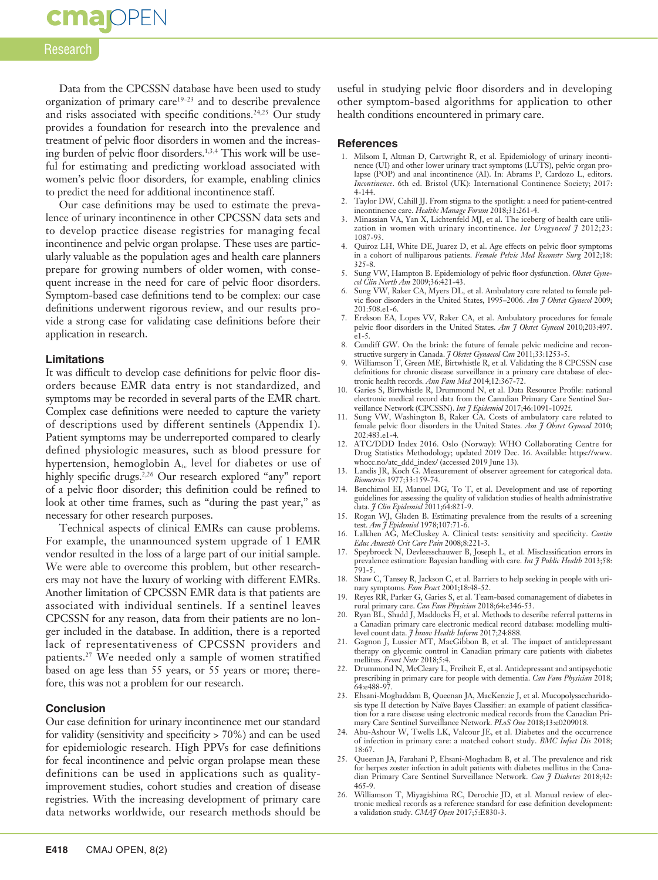## **cmajoPEN**

#### Research

Data from the CPCSSN database have been used to study organization of primary care19–23 and to describe prevalence and risks associated with specific conditions.<sup>24,25</sup> Our study provides a foundation for research into the prevalence and treatment of pelvic floor disorders in women and the increasing burden of pelvic floor disorders.1,3,4 This work will be useful for estimating and predicting workload associated with women's pelvic floor disorders, for example, enabling clinics to predict the need for additional incontinence staff.

Our case definitions may be used to estimate the prevalence of urinary incontinence in other CPCSSN data sets and to develop practice disease registries for managing fecal incontinence and pelvic organ prolapse. These uses are particularly valuable as the population ages and health care planners prepare for growing numbers of older women, with consequent increase in the need for care of pelvic floor disorders. Symptom-based case definitions tend to be complex: our case definitions underwent rigorous review, and our results provide a strong case for validating case definitions before their application in research.

#### **Limitations**

It was difficult to develop case definitions for pelvic floor disorders because EMR data entry is not standardized, and symptoms may be recorded in several parts of the EMR chart. Complex case definitions were needed to capture the variety of descriptions used by different sentinels (Appendix 1). Patient symptoms may be underreported compared to clearly defined physiologic measures, such as blood pressure for hypertension, hemoglobin  $A_{1c}$  level for diabetes or use of highly specific drugs.<sup>2,26</sup> Our research explored "any" report of a pelvic floor disorder; this definition could be refined to look at other time frames, such as "during the past year," as necessary for other research purposes.

Technical aspects of clinical EMRs can cause problems. For example, the unannounced system upgrade of 1 EMR vendor resulted in the loss of a large part of our initial sample. We were able to overcome this problem, but other researchers may not have the luxury of working with different EMRs. Another limitation of CPCSSN EMR data is that patients are associated with individual sentinels. If a sentinel leaves CPCSSN for any reason, data from their patients are no longer included in the database. In addition, there is a reported lack of representativeness of CPCSSN providers and patients.27 We needed only a sample of women stratified based on age less than 55 years, or 55 years or more; therefore, this was not a problem for our research.

#### **Conclusion**

Our case definition for urinary incontinence met our standard for validity (sensitivity and specificity > 70%) and can be used for epidemiologic research. High PPVs for case definitions for fecal incontinence and pelvic organ prolapse mean these definitions can be used in applications such as qualityimprovement studies, cohort studies and creation of disease registries. With the increasing development of primary care data networks worldwide, our research methods should be

useful in studying pelvic floor disorders and in developing other symptom-based algorithms for application to other health conditions encountered in primary care.

#### **References**

- 1. Milsom I, Altman D, Cartwright R, et al. Epidemiology of urinary incontinence (UI) and other lower urinary tract symptoms (LUTS), pelvic organ prolapse (POP) and anal incontinence (AI). In: Abrams P, Cardozo L, editors. *Incontinence*. 6th ed. Bristol (UK): International Continence Society; 2017: 4-144.
- 2. Taylor DW, Cahill JJ. From stigma to the spotlight: a need for patient-centred incontinence care. *Healthc Manage Forum* 2018;31:261-4.
- 3. Minassian VA, Yan X, Lichtenfeld MJ, et al. The iceberg of health care utilization in women with urinary incontinence. *Int Urogynecol J* 2012;23: 1087-93.
- 4. Quiroz LH, White DE, Juarez D, et al. Age effects on pelvic floor symptoms in a cohort of nulliparous patients. *Female Pelvic Med Reconstr Surg* 2012;18: 325-8.
- 5. Sung VW, Hampton B. Epidemiology of pelvic floor dysfunction. *Obstet Gynecol Clin North Am* 2009;36:421-43.
- 6. Sung VW, Raker CA, Myers DL, et al. Ambulatory care related to female pelvic floor disorders in the United States, 1995–2006. *Am J Obstet Gynecol* 2009; 201:508.e1-6.
- 7. Erekson EA, Lopes VV, Raker CA, et al. Ambulatory procedures for female pelvic floor disorders in the United States. *Am J Obstet Gynecol* 2010;203:497.  $e1-5$ .
- Cundiff GW. On the brink: the future of female pelvic medicine and reconstructive surgery in Canada. *J Obstet Gynaecol Can* 2011;33:1253-5.
- 9. Williamson T, Green ME, Birtwhistle R, et al. Validating the 8 CPCSSN case definitions for chronic disease surveillance in a primary care database of electronic health records. *Ann Fam Med* 2014;12:367-72.
- 10. Garies S, Birtwhistle R, Drummond N, et al. Data Resource Profile: national electronic medical record data from the Canadian Primary Care Sentinel Surveillance Network (CPCSSN). *Int J Epidemiol* 2017;46:1091-1092f.
- 11. Sung VW, Washington B, Raker CA. Costs of ambulatory care related to female pelvic floor disorders in the United States. *Am J Obstet Gynecol* 2010; 202:483.e1-4.
- 12. ATC/DDD Index 2016. Oslo (Norway): WHO Collaborating Centre for Drug Statistics Methodology; updated 2019 Dec. 16. Available: https://www. whocc.no/atc\_ddd\_index/ (accessed 2019 June 13).
- 13. Landis JR, Koch G. Measurement of observer agreement for categorical data. *Biometrics* 1977;33:159-74.
- 14. Benchimol EI, Manuel DG, To T, et al. Development and use of reporting guidelines for assessing the quality of validation studies of health administrative data. *J Clin Epidemiol* 2011;64:821-9.
- 15. Rogan WJ, Gladen B. Estimating prevalence from the results of a screening test. *Am J Epidemiol* 1978;107:71-6.
- 16. Lalkhen AG, McCluskey A. Clinical tests: sensitivity and specificity. *Contin Educ Anaesth Crit Care Pain* 2008;8:221-3.
- 17. Speybroeck N, Devleesschauwer B, Joseph L, et al. Misclassification errors in prevalence estimation: Bayesian handling with care. *Int J Public Health* 2013;58: 791-5.
- 18. Shaw C, Tansey R, Jackson C, et al. Barriers to help seeking in people with urinary symptoms. *Fam Pract* 2001;18:48-52.
- 19. Reyes RR, Parker G, Garies S, et al. Team-based comanagement of diabetes in rural primary care. *Can Fam Physician* 2018;64:e346-53.
- 20. Ryan BL, Shadd J, Maddocks H, et al. Methods to describe referral patterns in a Canadian primary care electronic medical record database: modelling multilevel count data. *J Innov Health Inform* 2017;24:888.
- 21. Gagnon J, Lussier MT, MacGibbon B, et al. The impact of antidepressant therapy on glycemic control in Canadian primary care patients with diabetes mellitus. *Front Nutr* 2018;5:4.
- 22. Drummond N, McCleary L, Freiheit E, et al. Antidepressant and antipsychotic prescribing in primary care for people with dementia. *Can Fam Physician* 2018; 64:e488-97.
- 23. Ehsani-Moghaddam B, Queenan JA, MacKenzie J, et al. Mucopolysaccharidosis type II detection by Naïve Bayes Classifier: an example of patient classification for a rare disease using electronic medical records from the Canadian Primary Care Sentinel Surveillance Network. *PLoS One* 2018;13:e0209018.
- 24. Abu-Ashour W, Twells LK, Valcour JE, et al. Diabetes and the occurrence of infection in primary care: a matched cohort study. *BMC Infect Dis* 2018; 18:67.
- 25. Queenan JA, Farahani P, Ehsani-Moghadam B, et al. The prevalence and risk for herpes zoster infection in adult patients with diabetes mellitus in the Canadian Primary Care Sentinel Surveillance Network. *Can J Diabetes* 2018;42: 465-9.
- 26. Williamson T, Miyagishima RC, Derochie JD, et al. Manual review of electronic medical records as a reference standard for case definition development: a validation study. *CMAJ Open* 2017;5:E830-3.